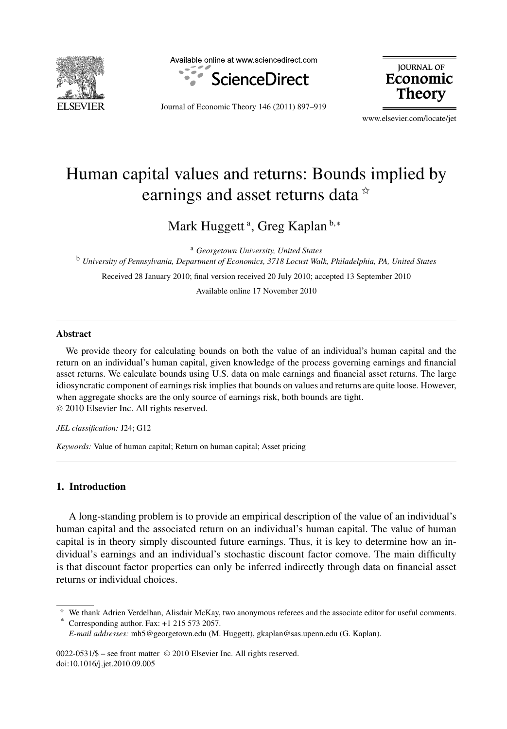

Available online at www.sciencedirect.com



**JOURNAL OF** Economic **Theory** 

Journal of Economic Theory 146 (2011) 897–919

www.elsevier.com/locate/jet

## Human capital values and returns: Bounds implied by earnings and asset returns data  $\dot{x}$

Mark Huggett <sup>a</sup> , Greg Kaplan <sup>b</sup>*,*<sup>∗</sup>

<sup>a</sup> *Georgetown University, United States*

<sup>b</sup> *University of Pennsylvania, Department of Economics, 3718 Locust Walk, Philadelphia, PA, United States* Received 28 January 2010; final version received 20 July 2010; accepted 13 September 2010

Available online 17 November 2010

## **Abstract**

We provide theory for calculating bounds on both the value of an individual's human capital and the return on an individual's human capital, given knowledge of the process governing earnings and financial asset returns. We calculate bounds using U.S. data on male earnings and financial asset returns. The large idiosyncratic component of earnings risk implies that bounds on values and returns are quite loose. However, when aggregate shocks are the only source of earnings risk, both bounds are tight. © 2010 Elsevier Inc. All rights reserved.

*JEL classification:* J24; G12

*Keywords:* Value of human capital; Return on human capital; Asset pricing

## **1. Introduction**

A long-standing problem is to provide an empirical description of the value of an individual's human capital and the associated return on an individual's human capital. The value of human capital is in theory simply discounted future earnings. Thus, it is key to determine how an individual's earnings and an individual's stochastic discount factor comove. The main difficulty is that discount factor properties can only be inferred indirectly through data on financial asset returns or individual choices.

0022-0531/\$ – see front matter © 2010 Elsevier Inc. All rights reserved. doi:10.1016/j.jet.2010.09.005

<sup>✩</sup> We thank Adrien Verdelhan, Alisdair McKay, two anonymous referees and the associate editor for useful comments. Corresponding author. Fax:  $+1$  215 573 2057.

*E-mail addresses:* mh5@georgetown.edu (M. Huggett), gkaplan@sas.upenn.edu (G. Kaplan).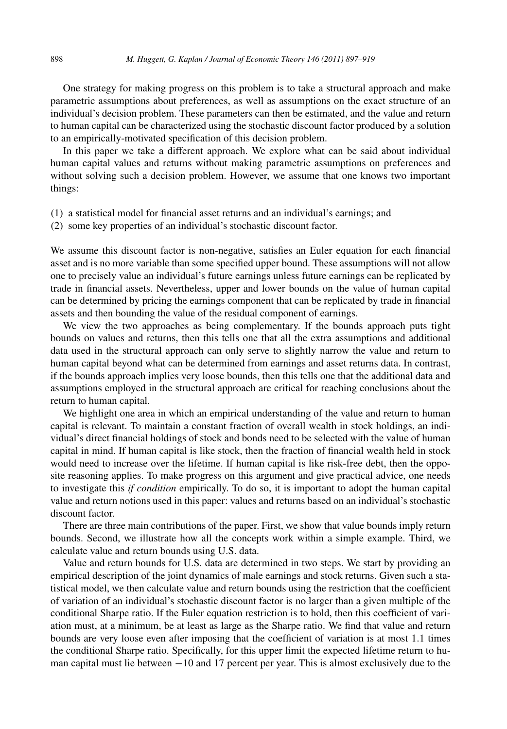One strategy for making progress on this problem is to take a structural approach and make parametric assumptions about preferences, as well as assumptions on the exact structure of an individual's decision problem. These parameters can then be estimated, and the value and return to human capital can be characterized using the stochastic discount factor produced by a solution to an empirically-motivated specification of this decision problem.

In this paper we take a different approach. We explore what can be said about individual human capital values and returns without making parametric assumptions on preferences and without solving such a decision problem. However, we assume that one knows two important things:

- (1) a statistical model for financial asset returns and an individual's earnings; and
- (2) some key properties of an individual's stochastic discount factor.

We assume this discount factor is non-negative, satisfies an Euler equation for each financial asset and is no more variable than some specified upper bound. These assumptions will not allow one to precisely value an individual's future earnings unless future earnings can be replicated by trade in financial assets. Nevertheless, upper and lower bounds on the value of human capital can be determined by pricing the earnings component that can be replicated by trade in financial assets and then bounding the value of the residual component of earnings.

We view the two approaches as being complementary. If the bounds approach puts tight bounds on values and returns, then this tells one that all the extra assumptions and additional data used in the structural approach can only serve to slightly narrow the value and return to human capital beyond what can be determined from earnings and asset returns data. In contrast, if the bounds approach implies very loose bounds, then this tells one that the additional data and assumptions employed in the structural approach are critical for reaching conclusions about the return to human capital.

We highlight one area in which an empirical understanding of the value and return to human capital is relevant. To maintain a constant fraction of overall wealth in stock holdings, an individual's direct financial holdings of stock and bonds need to be selected with the value of human capital in mind. If human capital is like stock, then the fraction of financial wealth held in stock would need to increase over the lifetime. If human capital is like risk-free debt, then the opposite reasoning applies. To make progress on this argument and give practical advice, one needs to investigate this *if condition* empirically. To do so, it is important to adopt the human capital value and return notions used in this paper: values and returns based on an individual's stochastic discount factor.

There are three main contributions of the paper. First, we show that value bounds imply return bounds. Second, we illustrate how all the concepts work within a simple example. Third, we calculate value and return bounds using U.S. data.

Value and return bounds for U.S. data are determined in two steps. We start by providing an empirical description of the joint dynamics of male earnings and stock returns. Given such a statistical model, we then calculate value and return bounds using the restriction that the coefficient of variation of an individual's stochastic discount factor is no larger than a given multiple of the conditional Sharpe ratio. If the Euler equation restriction is to hold, then this coefficient of variation must, at a minimum, be at least as large as the Sharpe ratio. We find that value and return bounds are very loose even after imposing that the coefficient of variation is at most 1*.*1 times the conditional Sharpe ratio. Specifically, for this upper limit the expected lifetime return to human capital must lie between −10 and 17 percent per year. This is almost exclusively due to the